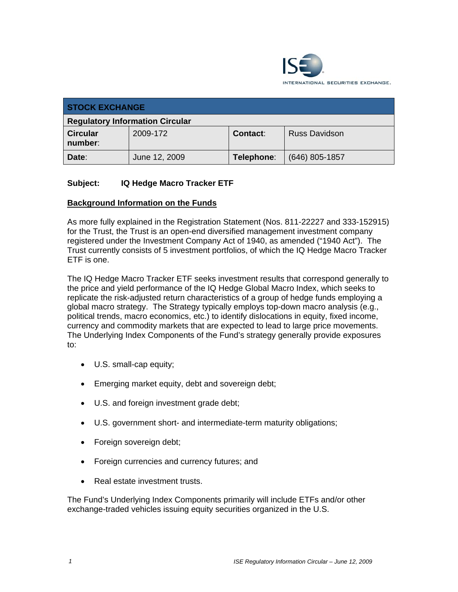

| <b>STOCK EXCHANGE</b>                  |               |            |                      |
|----------------------------------------|---------------|------------|----------------------|
| <b>Regulatory Information Circular</b> |               |            |                      |
| <b>Circular</b><br>number:             | 2009-172      | Contact:   | <b>Russ Davidson</b> |
| Date:                                  | June 12, 2009 | Telephone: | $(646)$ 805-1857     |

## **Subject: IQ Hedge Macro Tracker ETF**

### **Background Information on the Funds**

As more fully explained in the Registration Statement (Nos. 811-22227 and 333-152915) for the Trust, the Trust is an open-end diversified management investment company registered under the Investment Company Act of 1940, as amended ("1940 Act"). The Trust currently consists of 5 investment portfolios, of which the IQ Hedge Macro Tracker ETF is one.

The IQ Hedge Macro Tracker ETF seeks investment results that correspond generally to the price and yield performance of the IQ Hedge Global Macro Index, which seeks to replicate the risk-adjusted return characteristics of a group of hedge funds employing a global macro strategy. The Strategy typically employs top-down macro analysis (e.g., political trends, macro economics, etc.) to identify dislocations in equity, fixed income, currency and commodity markets that are expected to lead to large price movements. The Underlying Index Components of the Fund's strategy generally provide exposures to:

- U.S. small-cap equity;
- Emerging market equity, debt and sovereign debt;
- U.S. and foreign investment grade debt;
- U.S. government short- and intermediate-term maturity obligations;
- Foreign sovereign debt;
- Foreign currencies and currency futures; and
- Real estate investment trusts.

The Fund's Underlying Index Components primarily will include ETFs and/or other exchange-traded vehicles issuing equity securities organized in the U.S.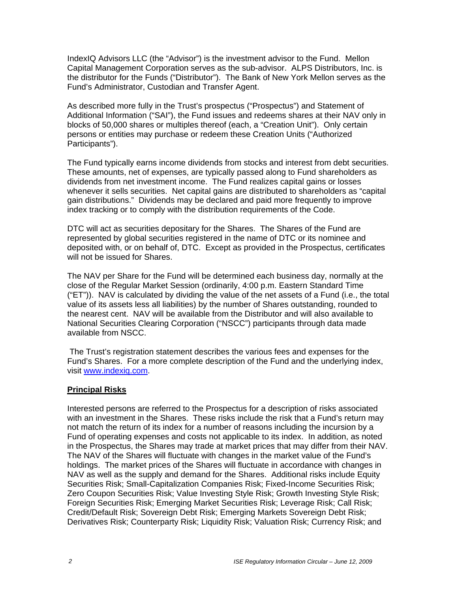IndexIQ Advisors LLC (the "Advisor") is the investment advisor to the Fund. Mellon Capital Management Corporation serves as the sub-advisor. ALPS Distributors, Inc. is the distributor for the Funds ("Distributor"). The Bank of New York Mellon serves as the Fund's Administrator, Custodian and Transfer Agent.

As described more fully in the Trust's prospectus ("Prospectus") and Statement of Additional Information ("SAI"), the Fund issues and redeems shares at their NAV only in blocks of 50,000 shares or multiples thereof (each, a "Creation Unit"). Only certain persons or entities may purchase or redeem these Creation Units ("Authorized Participants").

The Fund typically earns income dividends from stocks and interest from debt securities. These amounts, net of expenses, are typically passed along to Fund shareholders as dividends from net investment income. The Fund realizes capital gains or losses whenever it sells securities. Net capital gains are distributed to shareholders as "capital gain distributions." Dividends may be declared and paid more frequently to improve index tracking or to comply with the distribution requirements of the Code.

DTC will act as securities depositary for the Shares. The Shares of the Fund are represented by global securities registered in the name of DTC or its nominee and deposited with, or on behalf of, DTC. Except as provided in the Prospectus, certificates will not be issued for Shares.

The NAV per Share for the Fund will be determined each business day, normally at the close of the Regular Market Session (ordinarily, 4:00 p.m. Eastern Standard Time ("ET")). NAV is calculated by dividing the value of the net assets of a Fund (i.e., the total value of its assets less all liabilities) by the number of Shares outstanding, rounded to the nearest cent. NAV will be available from the Distributor and will also available to National Securities Clearing Corporation ("NSCC") participants through data made available from NSCC.

 The Trust's registration statement describes the various fees and expenses for the Fund's Shares. For a more complete description of the Fund and the underlying index, visit www.indexiq.com.

#### **Principal Risks**

Interested persons are referred to the Prospectus for a description of risks associated with an investment in the Shares. These risks include the risk that a Fund's return may not match the return of its index for a number of reasons including the incursion by a Fund of operating expenses and costs not applicable to its index. In addition, as noted in the Prospectus, the Shares may trade at market prices that may differ from their NAV. The NAV of the Shares will fluctuate with changes in the market value of the Fund's holdings. The market prices of the Shares will fluctuate in accordance with changes in NAV as well as the supply and demand for the Shares. Additional risks include Equity Securities Risk; Small-Capitalization Companies Risk; Fixed-Income Securities Risk; Zero Coupon Securities Risk; Value Investing Style Risk; Growth Investing Style Risk; Foreign Securities Risk; Emerging Market Securities Risk; Leverage Risk; Call Risk; Credit/Default Risk; Sovereign Debt Risk; Emerging Markets Sovereign Debt Risk; Derivatives Risk; Counterparty Risk; Liquidity Risk; Valuation Risk; Currency Risk; and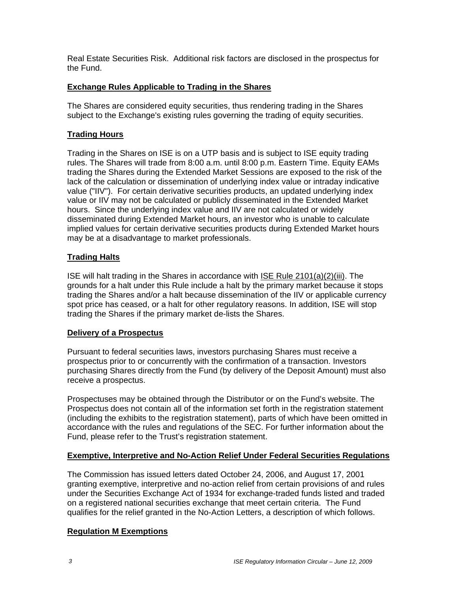Real Estate Securities Risk. Additional risk factors are disclosed in the prospectus for the Fund.

## **Exchange Rules Applicable to Trading in the Shares**

The Shares are considered equity securities, thus rendering trading in the Shares subject to the Exchange's existing rules governing the trading of equity securities.

# **Trading Hours**

Trading in the Shares on ISE is on a UTP basis and is subject to ISE equity trading rules. The Shares will trade from 8:00 a.m. until 8:00 p.m. Eastern Time. Equity EAMs trading the Shares during the Extended Market Sessions are exposed to the risk of the lack of the calculation or dissemination of underlying index value or intraday indicative value ("IIV"). For certain derivative securities products, an updated underlying index value or IIV may not be calculated or publicly disseminated in the Extended Market hours. Since the underlying index value and IIV are not calculated or widely disseminated during Extended Market hours, an investor who is unable to calculate implied values for certain derivative securities products during Extended Market hours may be at a disadvantage to market professionals.

## **Trading Halts**

ISE will halt trading in the Shares in accordance with ISE Rule 2101(a)(2)(iii). The grounds for a halt under this Rule include a halt by the primary market because it stops trading the Shares and/or a halt because dissemination of the IIV or applicable currency spot price has ceased, or a halt for other regulatory reasons. In addition, ISE will stop trading the Shares if the primary market de-lists the Shares.

### **Delivery of a Prospectus**

Pursuant to federal securities laws, investors purchasing Shares must receive a prospectus prior to or concurrently with the confirmation of a transaction. Investors purchasing Shares directly from the Fund (by delivery of the Deposit Amount) must also receive a prospectus.

Prospectuses may be obtained through the Distributor or on the Fund's website. The Prospectus does not contain all of the information set forth in the registration statement (including the exhibits to the registration statement), parts of which have been omitted in accordance with the rules and regulations of the SEC. For further information about the Fund, please refer to the Trust's registration statement.

### **Exemptive, Interpretive and No-Action Relief Under Federal Securities Regulations**

The Commission has issued letters dated October 24, 2006, and August 17, 2001 granting exemptive, interpretive and no-action relief from certain provisions of and rules under the Securities Exchange Act of 1934 for exchange-traded funds listed and traded on a registered national securities exchange that meet certain criteria. The Fund qualifies for the relief granted in the No-Action Letters, a description of which follows.

### **Regulation M Exemptions**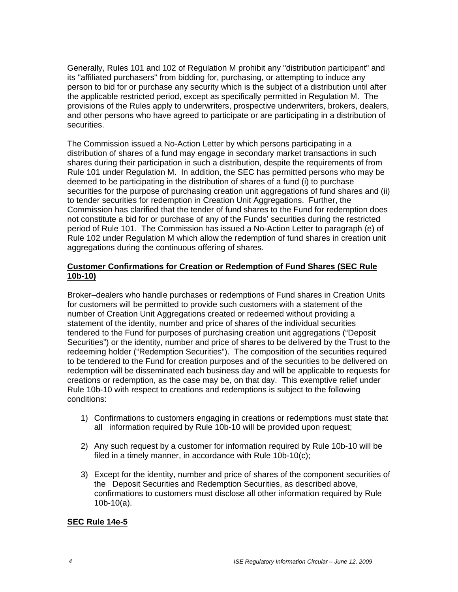Generally, Rules 101 and 102 of Regulation M prohibit any "distribution participant" and its "affiliated purchasers" from bidding for, purchasing, or attempting to induce any person to bid for or purchase any security which is the subject of a distribution until after the applicable restricted period, except as specifically permitted in Regulation M. The provisions of the Rules apply to underwriters, prospective underwriters, brokers, dealers, and other persons who have agreed to participate or are participating in a distribution of securities.

The Commission issued a No-Action Letter by which persons participating in a distribution of shares of a fund may engage in secondary market transactions in such shares during their participation in such a distribution, despite the requirements of from Rule 101 under Regulation M. In addition, the SEC has permitted persons who may be deemed to be participating in the distribution of shares of a fund (i) to purchase securities for the purpose of purchasing creation unit aggregations of fund shares and (ii) to tender securities for redemption in Creation Unit Aggregations. Further, the Commission has clarified that the tender of fund shares to the Fund for redemption does not constitute a bid for or purchase of any of the Funds' securities during the restricted period of Rule 101. The Commission has issued a No-Action Letter to paragraph (e) of Rule 102 under Regulation M which allow the redemption of fund shares in creation unit aggregations during the continuous offering of shares.

### **Customer Confirmations for Creation or Redemption of Fund Shares (SEC Rule 10b-10)**

Broker–dealers who handle purchases or redemptions of Fund shares in Creation Units for customers will be permitted to provide such customers with a statement of the number of Creation Unit Aggregations created or redeemed without providing a statement of the identity, number and price of shares of the individual securities tendered to the Fund for purposes of purchasing creation unit aggregations ("Deposit Securities") or the identity, number and price of shares to be delivered by the Trust to the redeeming holder ("Redemption Securities"). The composition of the securities required to be tendered to the Fund for creation purposes and of the securities to be delivered on redemption will be disseminated each business day and will be applicable to requests for creations or redemption, as the case may be, on that day. This exemptive relief under Rule 10b-10 with respect to creations and redemptions is subject to the following conditions:

- 1) Confirmations to customers engaging in creations or redemptions must state that all information required by Rule 10b-10 will be provided upon request;
- 2) Any such request by a customer for information required by Rule 10b-10 will be filed in a timely manner, in accordance with Rule 10b-10(c);
- 3) Except for the identity, number and price of shares of the component securities of the Deposit Securities and Redemption Securities, as described above, confirmations to customers must disclose all other information required by Rule 10b-10(a).

### **SEC Rule 14e-5**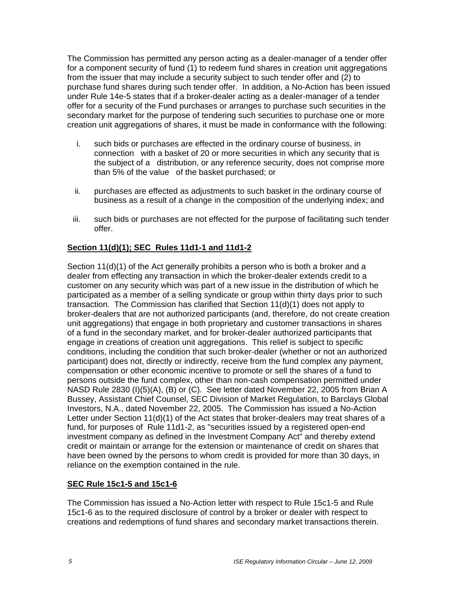The Commission has permitted any person acting as a dealer-manager of a tender offer for a component security of fund (1) to redeem fund shares in creation unit aggregations from the issuer that may include a security subject to such tender offer and (2) to purchase fund shares during such tender offer. In addition, a No-Action has been issued under Rule 14e-5 states that if a broker-dealer acting as a dealer-manager of a tender offer for a security of the Fund purchases or arranges to purchase such securities in the secondary market for the purpose of tendering such securities to purchase one or more creation unit aggregations of shares, it must be made in conformance with the following:

- i. such bids or purchases are effected in the ordinary course of business, in connection with a basket of 20 or more securities in which any security that is the subject of a distribution, or any reference security, does not comprise more than 5% of the value of the basket purchased; or
- ii. purchases are effected as adjustments to such basket in the ordinary course of business as a result of a change in the composition of the underlying index; and
- iii. such bids or purchases are not effected for the purpose of facilitating such tender offer.

## **Section 11(d)(1); SEC Rules 11d1-1 and 11d1-2**

Section 11(d)(1) of the Act generally prohibits a person who is both a broker and a dealer from effecting any transaction in which the broker-dealer extends credit to a customer on any security which was part of a new issue in the distribution of which he participated as a member of a selling syndicate or group within thirty days prior to such transaction. The Commission has clarified that Section 11(d)(1) does not apply to broker-dealers that are not authorized participants (and, therefore, do not create creation unit aggregations) that engage in both proprietary and customer transactions in shares of a fund in the secondary market, and for broker-dealer authorized participants that engage in creations of creation unit aggregations. This relief is subject to specific conditions, including the condition that such broker-dealer (whether or not an authorized participant) does not, directly or indirectly, receive from the fund complex any payment, compensation or other economic incentive to promote or sell the shares of a fund to persons outside the fund complex, other than non-cash compensation permitted under NASD Rule 2830 (I)(5)(A), (B) or (C). See letter dated November 22, 2005 from Brian A Bussey, Assistant Chief Counsel, SEC Division of Market Regulation, to Barclays Global Investors, N.A., dated November 22, 2005. The Commission has issued a No-Action Letter under Section 11(d)(1) of the Act states that broker-dealers may treat shares of a fund, for purposes of Rule 11d1-2, as "securities issued by a registered open-end investment company as defined in the Investment Company Act" and thereby extend credit or maintain or arrange for the extension or maintenance of credit on shares that have been owned by the persons to whom credit is provided for more than 30 days, in reliance on the exemption contained in the rule.

### **SEC Rule 15c1-5 and 15c1-6**

The Commission has issued a No-Action letter with respect to Rule 15c1-5 and Rule 15c1-6 as to the required disclosure of control by a broker or dealer with respect to creations and redemptions of fund shares and secondary market transactions therein.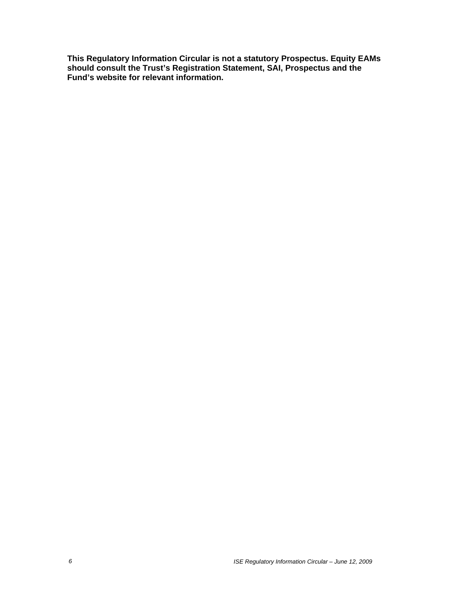**This Regulatory Information Circular is not a statutory Prospectus. Equity EAMs should consult the Trust's Registration Statement, SAI, Prospectus and the Fund's website for relevant information.**